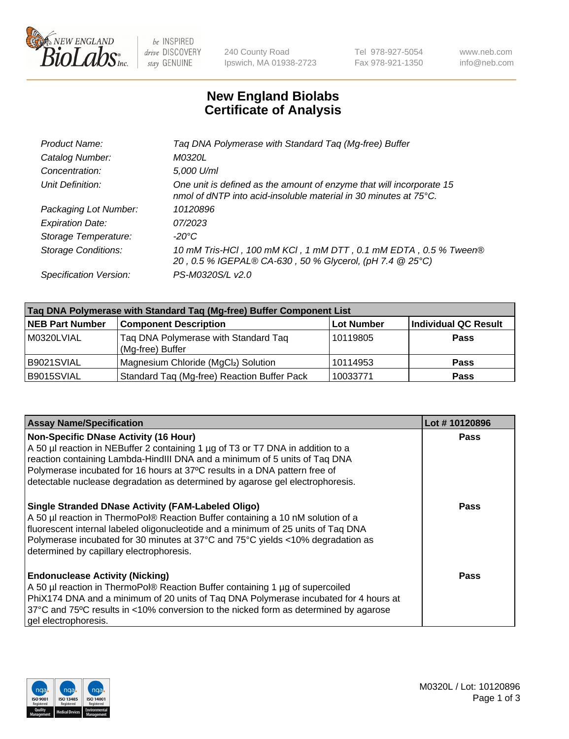

 $be$  INSPIRED drive DISCOVERY stay GENUINE

240 County Road Ipswich, MA 01938-2723 Tel 978-927-5054 Fax 978-921-1350 www.neb.com info@neb.com

## **New England Biolabs Certificate of Analysis**

| Taq DNA Polymerase with Standard Taq (Mg-free) Buffer                                                                                    |
|------------------------------------------------------------------------------------------------------------------------------------------|
| M0320L                                                                                                                                   |
| 5,000 U/ml                                                                                                                               |
| One unit is defined as the amount of enzyme that will incorporate 15<br>nmol of dNTP into acid-insoluble material in 30 minutes at 75°C. |
| 10120896                                                                                                                                 |
| 07/2023                                                                                                                                  |
| $-20^{\circ}$ C                                                                                                                          |
| 10 mM Tris-HCl, 100 mM KCl, 1 mM DTT, 0.1 mM EDTA, 0.5 % Tween®<br>20, 0.5 % IGEPAL® CA-630, 50 % Glycerol, (pH 7.4 @ 25°C)              |
| PS-M0320S/L v2.0                                                                                                                         |
|                                                                                                                                          |

| Taq DNA Polymerase with Standard Taq (Mg-free) Buffer Component List |                                                          |                   |                             |  |
|----------------------------------------------------------------------|----------------------------------------------------------|-------------------|-----------------------------|--|
| <b>NEB Part Number</b>                                               | <b>Component Description</b>                             | <b>Lot Number</b> | <b>Individual QC Result</b> |  |
| M0320LVIAL                                                           | Tag DNA Polymerase with Standard Tag<br>(Mg-free) Buffer | 10119805          | <b>Pass</b>                 |  |
| B9021SVIAL                                                           | Magnesium Chloride (MgCl2) Solution                      | 10114953          | <b>Pass</b>                 |  |
| B9015SVIAL                                                           | Standard Taq (Mg-free) Reaction Buffer Pack              | 10033771          | <b>Pass</b>                 |  |

| <b>Assay Name/Specification</b>                                                                                                                                                                                                                                                                                                                                              | Lot #10120896 |
|------------------------------------------------------------------------------------------------------------------------------------------------------------------------------------------------------------------------------------------------------------------------------------------------------------------------------------------------------------------------------|---------------|
| <b>Non-Specific DNase Activity (16 Hour)</b><br>A 50 µl reaction in NEBuffer 2 containing 1 µg of T3 or T7 DNA in addition to a<br>reaction containing Lambda-HindIII DNA and a minimum of 5 units of Taq DNA<br>Polymerase incubated for 16 hours at 37°C results in a DNA pattern free of<br>detectable nuclease degradation as determined by agarose gel electrophoresis. | <b>Pass</b>   |
| <b>Single Stranded DNase Activity (FAM-Labeled Oligo)</b><br>A 50 µl reaction in ThermoPol® Reaction Buffer containing a 10 nM solution of a<br>fluorescent internal labeled oligonucleotide and a minimum of 25 units of Taq DNA<br>Polymerase incubated for 30 minutes at 37°C and 75°C yields <10% degradation as<br>determined by capillary electrophoresis.             | <b>Pass</b>   |
| <b>Endonuclease Activity (Nicking)</b><br>A 50 µl reaction in ThermoPol® Reaction Buffer containing 1 µg of supercoiled<br>PhiX174 DNA and a minimum of 20 units of Taq DNA Polymerase incubated for 4 hours at<br>37°C and 75°C results in <10% conversion to the nicked form as determined by agarose<br>gel electrophoresis.                                              | Pass          |

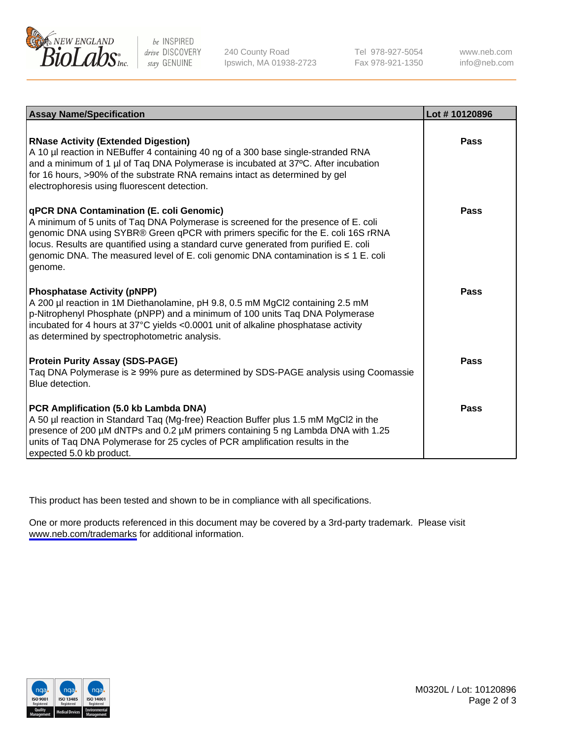

be INSPIRED drive DISCOVERY stay GENUINE

240 County Road Ipswich, MA 01938-2723 Tel 978-927-5054 Fax 978-921-1350

www.neb.com info@neb.com

| <b>Assay Name/Specification</b>                                                                                                                                                                                                                                                                                                                                                                                      | Lot #10120896 |
|----------------------------------------------------------------------------------------------------------------------------------------------------------------------------------------------------------------------------------------------------------------------------------------------------------------------------------------------------------------------------------------------------------------------|---------------|
| <b>RNase Activity (Extended Digestion)</b><br>A 10 µl reaction in NEBuffer 4 containing 40 ng of a 300 base single-stranded RNA<br>and a minimum of 1 µl of Taq DNA Polymerase is incubated at 37°C. After incubation<br>for 16 hours, >90% of the substrate RNA remains intact as determined by gel<br>electrophoresis using fluorescent detection.                                                                 | Pass          |
| <b>qPCR DNA Contamination (E. coli Genomic)</b><br>A minimum of 5 units of Taq DNA Polymerase is screened for the presence of E. coli<br>genomic DNA using SYBR® Green qPCR with primers specific for the E. coli 16S rRNA<br>locus. Results are quantified using a standard curve generated from purified E. coli<br>genomic DNA. The measured level of E. coli genomic DNA contamination is ≤ 1 E. coli<br>genome. | Pass          |
| <b>Phosphatase Activity (pNPP)</b><br>A 200 µl reaction in 1M Diethanolamine, pH 9.8, 0.5 mM MgCl2 containing 2.5 mM<br>p-Nitrophenyl Phosphate (pNPP) and a minimum of 100 units Taq DNA Polymerase<br>incubated for 4 hours at 37°C yields <0.0001 unit of alkaline phosphatase activity<br>as determined by spectrophotometric analysis.                                                                          | Pass          |
| <b>Protein Purity Assay (SDS-PAGE)</b><br>Taq DNA Polymerase is ≥ 99% pure as determined by SDS-PAGE analysis using Coomassie<br>Blue detection.                                                                                                                                                                                                                                                                     | Pass          |
| PCR Amplification (5.0 kb Lambda DNA)<br>A 50 µl reaction in Standard Taq (Mg-free) Reaction Buffer plus 1.5 mM MgCl2 in the<br>presence of 200 µM dNTPs and 0.2 µM primers containing 5 ng Lambda DNA with 1.25<br>units of Taq DNA Polymerase for 25 cycles of PCR amplification results in the<br>expected 5.0 kb product.                                                                                        | Pass          |

This product has been tested and shown to be in compliance with all specifications.

One or more products referenced in this document may be covered by a 3rd-party trademark. Please visit <www.neb.com/trademarks>for additional information.